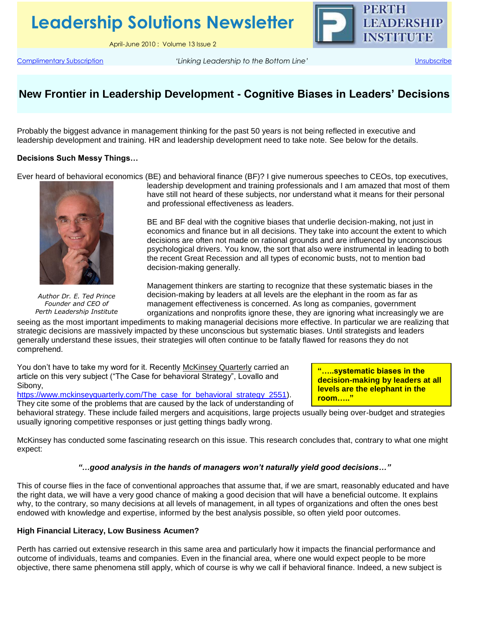**Leadership Solutions Newsletter**

April-June 2010 : Volume 13 Issue 2

[Complimentary Subscription](mailto:leadership.solutions@perthleadership.org?subject=Subscribe) *'Linking Leadership to the Bottom Line'* [Unsubscribe](mailto:leadership.solutions@perthleadership.org?subject=Remove)

PERTH

**LEADERSHIP INSTITUTE** 

# **New Frontier in Leadership Development - Cognitive Biases in Leaders' Decisions**

Probably the biggest advance in management thinking for the past 50 years is not being reflected in executive and leadership development and training. HR and leadership development need to take note. See below for the details.

### **Decisions Such Messy Things…**

Ever heard of behavioral economics (BE) and behavioral finance (BF)? I give numerous speeches to CEOs, top executives,



*Author Dr. E. Ted Prince Founder and CEO of Perth Leadership Institute*

leadership development and training professionals and I am amazed that most of them have still not heard of these subjects, nor understand what it means for their personal and professional effectiveness as leaders.

BE and BF deal with the cognitive biases that underlie decision-making, not just in economics and finance but in all decisions. They take into account the extent to which decisions are often not made on rational grounds and are influenced by unconscious psychological drivers. You know, the sort that also were instrumental in leading to both the recent Great Recession and all types of economic busts, not to mention bad decision-making generally.

Management thinkers are starting to recognize that these systematic biases in the decision-making by leaders at all levels are the elephant in the room as far as management effectiveness is concerned. As long as companies, government organizations and nonprofits ignore these, they are ignoring what increasingly we are

seeing as the most important impediments to making managerial decisions more effective. In particular we are realizing that strategic decisions are massively impacted by these unconscious but systematic biases. Until strategists and leaders generally understand these issues, their strategies will often continue to be fatally flawed for reasons they do not comprehend.

You don't have to take my word for it. Recently McKinsey Quarterly carried an article on this very subject ("The Case for behavioral Strategy", Lovallo and Sibony,

[https://www.mckinseyquarterly.com/The\\_case\\_for\\_behavioral\\_strategy\\_2551\)](https://www.mckinseyquarterly.com/The_case_for_behavioral_strategy_2551).

**"…..systematic biases in the decision-making by leaders at all levels are the elephant in the room….."**

They cite some of the problems that are caused by the lack of understanding of behavioral strategy. These include failed mergers and acquisitions, large projects usually being over-budget and strategies usually ignoring competitive responses or just getting things badly wrong.

McKinsey has conducted some fascinating research on this issue. This research concludes that, contrary to what one might expect:

#### *"…good analysis in the hands of managers won't naturally yield good decisions…"*

This of course flies in the face of conventional approaches that assume that, if we are smart, reasonably educated and have the right data, we will have a very good chance of making a good decision that will have a beneficial outcome. It explains why, to the contrary, so many decisions at all levels of management, in all types of organizations and often the ones best endowed with knowledge and expertise, informed by the best analysis possible, so often yield poor outcomes.

## **High Financial Literacy, Low Business Acumen?**

Perth has carried out extensive research in this same area and particularly how it impacts the financial performance and outcome of individuals, teams and companies. Even in the financial area, where one would expect people to be more objective, there same phenomena still apply, which of course is why we call if behavioral finance. Indeed, a new subject is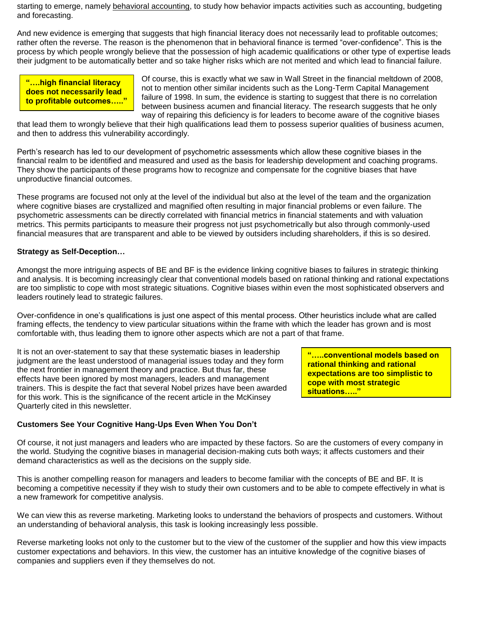starting to emerge, namely behavioral accounting, to study how behavior impacts activities such as accounting, budgeting and forecasting.

And new evidence is emerging that suggests that high financial literacy does not necessarily lead to profitable outcomes; rather often the reverse. The reason is the phenomenon that in behavioral finance is termed "over-confidence". This is the process by which people wrongly believe that the possession of high academic qualifications or other type of expertise leads their judgment to be automatically better and so take higher risks which are not merited and which lead to financial failure.

**"….high financial literacy does not necessarily lead to profitable outcomes….."**

Of course, this is exactly what we saw in Wall Street in the financial meltdown of 2008, not to mention other similar incidents such as the Long-Term Capital Management failure of 1998. In sum, the evidence is starting to suggest that there is no correlation between business acumen and financial literacy. The research suggests that he only way of repairing this deficiency is for leaders to become aware of the cognitive biases

that lead them to wrongly believe that their high qualifications lead them to possess superior qualities of business acumen, and then to address this vulnerability accordingly.

Perth's research has led to our development of psychometric assessments which allow these cognitive biases in the financial realm to be identified and measured and used as the basis for leadership development and coaching programs. They show the participants of these programs how to recognize and compensate for the cognitive biases that have unproductive financial outcomes.

These programs are focused not only at the level of the individual but also at the level of the team and the organization where cognitive biases are crystallized and magnified often resulting in major financial problems or even failure. The psychometric assessments can be directly correlated with financial metrics in financial statements and with valuation metrics. This permits participants to measure their progress not just psychometrically but also through commonly-used financial measures that are transparent and able to be viewed by outsiders including shareholders, if this is so desired.

## **Strategy as Self-Deception…**

Amongst the more intriguing aspects of BE and BF is the evidence linking cognitive biases to failures in strategic thinking and analysis. It is becoming increasingly clear that conventional models based on rational thinking and rational expectations are too simplistic to cope with most strategic situations. Cognitive biases within even the most sophisticated observers and leaders routinely lead to strategic failures.

Over-confidence in one's qualifications is just one aspect of this mental process. Other heuristics include what are called framing effects, the tendency to view particular situations within the frame with which the leader has grown and is most comfortable with, thus leading them to ignore other aspects which are not a part of that frame.

It is not an over-statement to say that these systematic biases in leadership judgment are the least understood of managerial issues today and they form the next frontier in management theory and practice. But thus far, these effects have been ignored by most managers, leaders and management trainers. This is despite the fact that several Nobel prizes have been awarded for this work. This is the significance of the recent article in the McKinsey Quarterly cited in this newsletter.

**"…..conventional models based on rational thinking and rational expectations are too simplistic to cope with most strategic situations….."**

## **Customers See Your Cognitive Hang-Ups Even When You Don't**

Of course, it not just managers and leaders who are impacted by these factors. So are the customers of every company in the world. Studying the cognitive biases in managerial decision-making cuts both ways; it affects customers and their demand characteristics as well as the decisions on the supply side.

This is another compelling reason for managers and leaders to become familiar with the concepts of BE and BF. It is becoming a competitive necessity if they wish to study their own customers and to be able to compete effectively in what is a new framework for competitive analysis.

We can view this as reverse marketing. Marketing looks to understand the behaviors of prospects and customers. Without an understanding of behavioral analysis, this task is looking increasingly less possible.

Reverse marketing looks not only to the customer but to the view of the customer of the supplier and how this view impacts customer expectations and behaviors. In this view, the customer has an intuitive knowledge of the cognitive biases of companies and suppliers even if they themselves do not.